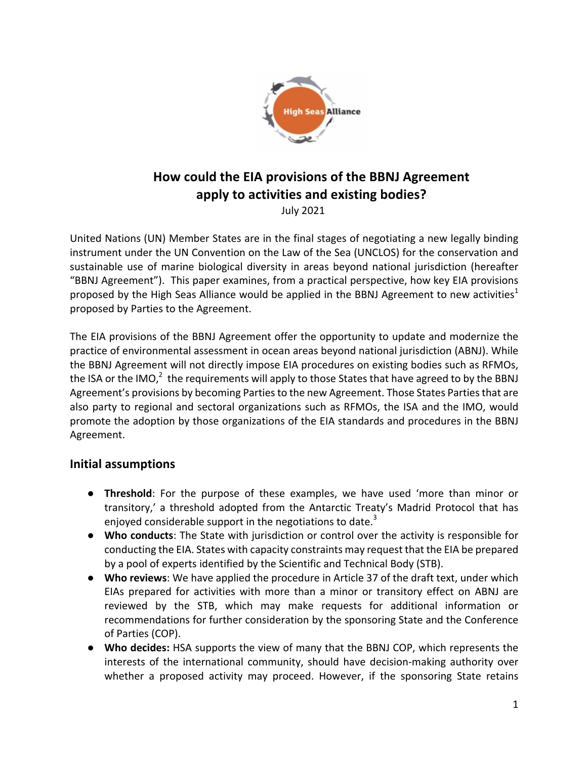

# How could the EIA provisions of the BBNJ Agreement apply to activities and existing bodies?

 July 2021

United Nations (UN) Member States are in the final stages of negotiating a new legally binding instrument under the UN Convention on the Law of the Sea (UNCLOS) for the conservation and sustainable use of marine biological diversity in areas beyond national jurisdiction (hereafter "BBNJ Agreement"). This paper examines, from a practical perspective, how key EIA provisions proposed by the High Seas Alliance would be applied in the BBNJ Agreement to new activities<sup>1</sup> proposed by Parties to the Agreement.

The EIA provisions of the BBNJ Agreement offer the opportunity to update and modernize the practice of environmental assessment in ocean areas beyond national jurisdiction (ABNJ). While the BBNJ Agreement will not directly impose EIA procedures on existing bodies such as RFMOs, the ISA or the IMO,<sup>2</sup> the requirements will apply to those States that have agreed to by the BBNJ Agreement's provisions by becoming Parties to the new Agreement. Those States Parties that are also party to regional and sectoral organizations such as RFMOs, the ISA and the IMO, would promote the adoption by those organizations of the EIA standards and procedures in the BBNJ Agreement. 

# **Initial assumptions**

- **•** Threshold: For the purpose of these examples, we have used 'more than minor or transitory,' a threshold adopted from the Antarctic Treaty's Madrid Protocol that has enjoyed considerable support in the negotiations to date.<sup>3</sup>
- Who conducts: The State with jurisdiction or control over the activity is responsible for conducting the EIA. States with capacity constraints may request that the EIA be prepared by a pool of experts identified by the Scientific and Technical Body (STB).
- **Who reviews:** We have applied the procedure in Article 37 of the draft text, under which EIAs prepared for activities with more than a minor or transitory effect on ABNJ are reviewed by the STB, which may make requests for additional information or recommendations for further consideration by the sponsoring State and the Conference of Parties (COP).
- Who decides: HSA supports the view of many that the BBNJ COP, which represents the interests of the international community, should have decision-making authority over whether a proposed activity may proceed. However, if the sponsoring State retains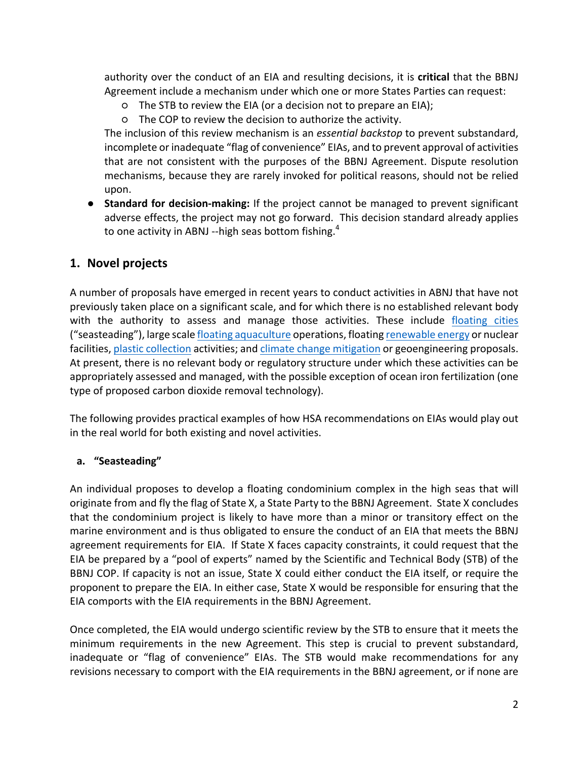authority over the conduct of an EIA and resulting decisions, it is **critical** that the BBNJ Agreement include a mechanism under which one or more States Parties can request:

- $O$  The STB to review the EIA (or a decision not to prepare an EIA);
- $\circ$  The COP to review the decision to authorize the activity.

The inclusion of this review mechanism is an *essential backstop* to prevent substandard, incomplete or inadequate "flag of convenience" EIAs, and to prevent approval of activities that are not consistent with the purposes of the BBNJ Agreement. Dispute resolution mechanisms, because they are rarely invoked for political reasons, should not be relied upon.

**•** Standard for decision-making: If the project cannot be managed to prevent significant adverse effects, the project may not go forward. This decision standard already applies to one activity in ABNJ --high seas bottom fishing. $^{\text{4}}$ 

# 1. Novel projects

A number of proposals have emerged in recent years to conduct activities in ABNJ that have not previously taken place on a significant scale, and for which there is no established relevant body with the authority to assess and manage those activities. These include floating cities ("seasteading"), large scale floating aquaculture operations, floating renewable energy or nuclear facilities, plastic collection activities; and climate change mitigation or geoengineering proposals. At present, there is no relevant body or regulatory structure under which these activities can be appropriately assessed and managed, with the possible exception of ocean iron fertilization (one type of proposed carbon dioxide removal technology).

The following provides practical examples of how HSA recommendations on EIAs would play out in the real world for both existing and novel activities.

#### **a. "Seasteading"**

An individual proposes to develop a floating condominium complex in the high seas that will originate from and fly the flag of State X, a State Party to the BBNJ Agreement. State X concludes that the condominium project is likely to have more than a minor or transitory effect on the marine environment and is thus obligated to ensure the conduct of an EIA that meets the BBNJ agreement requirements for EIA. If State X faces capacity constraints, it could request that the EIA be prepared by a "pool of experts" named by the Scientific and Technical Body (STB) of the BBNJ COP. If capacity is not an issue, State X could either conduct the EIA itself, or require the proponent to prepare the EIA. In either case, State X would be responsible for ensuring that the EIA comports with the EIA requirements in the BBNJ Agreement.

Once completed, the EIA would undergo scientific review by the STB to ensure that it meets the minimum requirements in the new Agreement. This step is crucial to prevent substandard, inadequate or "flag of convenience" EIAs. The STB would make recommendations for any revisions necessary to comport with the EIA requirements in the BBNJ agreement, or if none are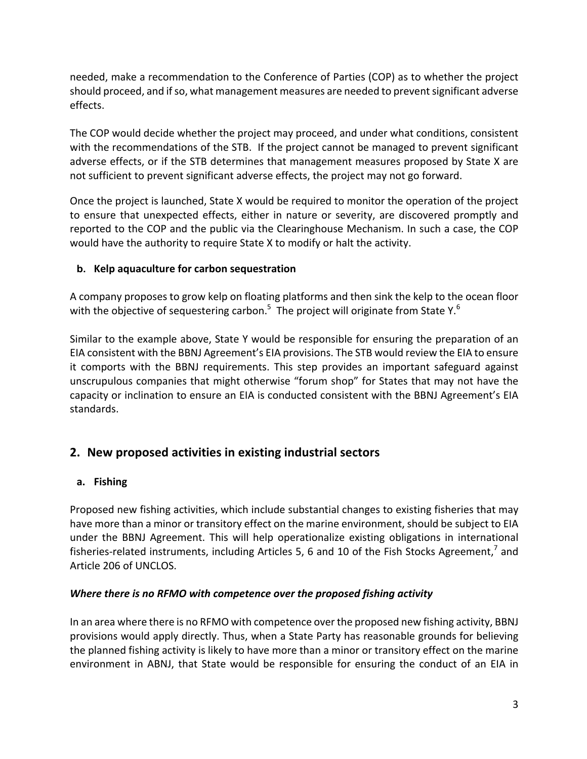needed, make a recommendation to the Conference of Parties (COP) as to whether the project should proceed, and if so, what management measures are needed to prevent significant adverse effects.

The COP would decide whether the project may proceed, and under what conditions, consistent with the recommendations of the STB. If the project cannot be managed to prevent significant adverse effects, or if the STB determines that management measures proposed by State X are not sufficient to prevent significant adverse effects, the project may not go forward.

Once the project is launched, State X would be required to monitor the operation of the project to ensure that unexpected effects, either in nature or severity, are discovered promptly and reported to the COP and the public via the Clearinghouse Mechanism. In such a case, the COP would have the authority to require State X to modify or halt the activity.

# **b.** Kelp aquaculture for carbon sequestration

A company proposes to grow kelp on floating platforms and then sink the kelp to the ocean floor with the objective of sequestering carbon.<sup>5</sup> The project will originate from State Y.<sup>6</sup>

Similar to the example above, State Y would be responsible for ensuring the preparation of an EIA consistent with the BBNJ Agreement's EIA provisions. The STB would review the EIA to ensure it comports with the BBNJ requirements. This step provides an important safeguard against unscrupulous companies that might otherwise "forum shop" for States that may not have the capacity or inclination to ensure an EIA is conducted consistent with the BBNJ Agreement's EIA standards. 

# **2. New proposed activities in existing industrial sectors**

# **a. Fishing**

Proposed new fishing activities, which include substantial changes to existing fisheries that may have more than a minor or transitory effect on the marine environment, should be subject to EIA under the BBNJ Agreement. This will help operationalize existing obligations in international fisheries-related instruments, including Articles 5, 6 and 10 of the Fish Stocks Agreement,<sup>7</sup> and Article 206 of UNCLOS.

# *Where there is no RFMO with competence over the proposed fishing activity*

In an area where there is no RFMO with competence over the proposed new fishing activity, BBNJ provisions would apply directly. Thus, when a State Party has reasonable grounds for believing the planned fishing activity is likely to have more than a minor or transitory effect on the marine environment in ABNJ, that State would be responsible for ensuring the conduct of an EIA in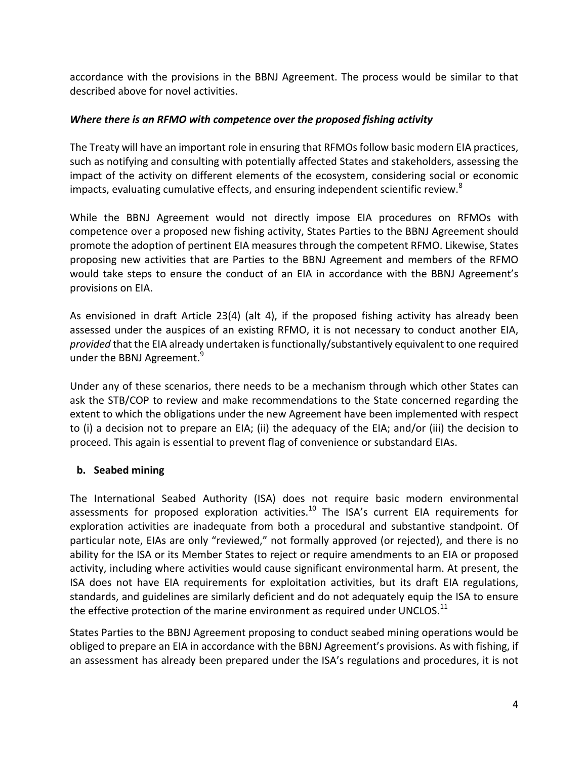accordance with the provisions in the BBNJ Agreement. The process would be similar to that described above for novel activities.

#### *Where there is an RFMO with competence over the proposed fishing activity*

The Treaty will have an important role in ensuring that RFMOs follow basic modern EIA practices, such as notifying and consulting with potentially affected States and stakeholders, assessing the impact of the activity on different elements of the ecosystem, considering social or economic impacts, evaluating cumulative effects, and ensuring independent scientific review.<sup>8</sup>

While the BBNJ Agreement would not directly impose EIA procedures on RFMOs with competence over a proposed new fishing activity, States Parties to the BBNJ Agreement should promote the adoption of pertinent EIA measures through the competent RFMO. Likewise, States proposing new activities that are Parties to the BBNJ Agreement and members of the RFMO would take steps to ensure the conduct of an EIA in accordance with the BBNJ Agreement's provisions on EIA.

As envisioned in draft Article 23(4) (alt 4), if the proposed fishing activity has already been assessed under the auspices of an existing RFMO, it is not necessary to conduct another EIA, *provided* that the EIA already undertaken is functionally/substantively equivalent to one required under the BBNJ Agreement.<sup>9</sup>

Under any of these scenarios, there needs to be a mechanism through which other States can ask the STB/COP to review and make recommendations to the State concerned regarding the extent to which the obligations under the new Agreement have been implemented with respect to (i) a decision not to prepare an EIA; (ii) the adequacy of the EIA; and/or (iii) the decision to proceed. This again is essential to prevent flag of convenience or substandard EIAs.

### **b. Seabed mining**

The International Seabed Authority (ISA) does not require basic modern environmental assessments for proposed exploration activities.<sup>10</sup> The ISA's current EIA requirements for exploration activities are inadequate from both a procedural and substantive standpoint. Of particular note, EIAs are only "reviewed," not formally approved (or rejected), and there is no ability for the ISA or its Member States to reject or require amendments to an EIA or proposed activity, including where activities would cause significant environmental harm. At present, the ISA does not have EIA requirements for exploitation activities, but its draft EIA regulations, standards, and guidelines are similarly deficient and do not adequately equip the ISA to ensure the effective protection of the marine environment as required under UNCLOS.<sup>11</sup>

States Parties to the BBNJ Agreement proposing to conduct seabed mining operations would be obliged to prepare an EIA in accordance with the BBNJ Agreement's provisions. As with fishing, if an assessment has already been prepared under the ISA's regulations and procedures, it is not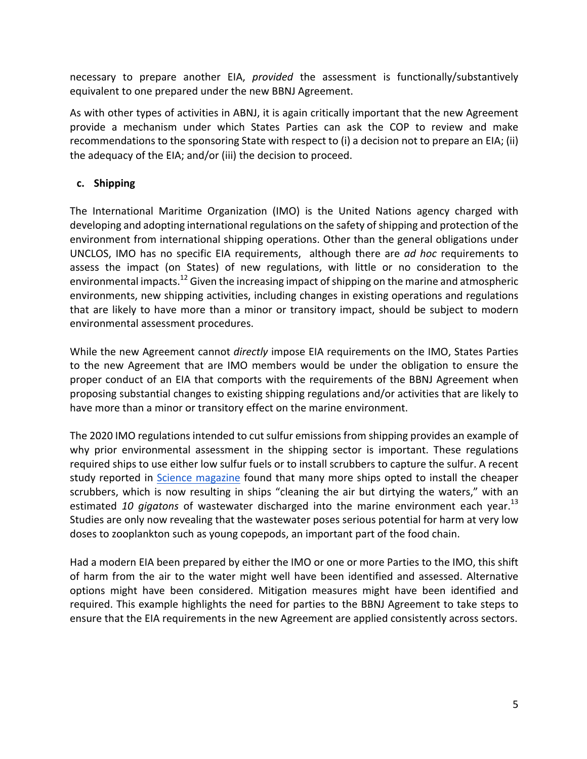necessary to prepare another EIA, *provided* the assessment is functionally/substantively equivalent to one prepared under the new BBNJ Agreement.

As with other types of activities in ABNJ, it is again critically important that the new Agreement provide a mechanism under which States Parties can ask the COP to review and make recommendations to the sponsoring State with respect to  $(i)$  a decision not to prepare an EIA;  $(ii)$ the adequacy of the EIA; and/or (iii) the decision to proceed.

### **c. Shipping**

The International Maritime Organization (IMO) is the United Nations agency charged with developing and adopting international regulations on the safety of shipping and protection of the environment from international shipping operations. Other than the general obligations under UNCLOS, IMO has no specific EIA requirements, although there are *ad hoc* requirements to assess the impact (on States) of new regulations, with little or no consideration to the environmental impacts. $^{12}$  Given the increasing impact of shipping on the marine and atmospheric environments, new shipping activities, including changes in existing operations and regulations that are likely to have more than a minor or transitory impact, should be subject to modern environmental assessment procedures.

While the new Agreement cannot *directly* impose EIA requirements on the IMO, States Parties to the new Agreement that are IMO members would be under the obligation to ensure the proper conduct of an EIA that comports with the requirements of the BBNJ Agreement when proposing substantial changes to existing shipping regulations and/or activities that are likely to have more than a minor or transitory effect on the marine environment.

The 2020 IMO regulations intended to cut sulfur emissions from shipping provides an example of why prior environmental assessment in the shipping sector is important. These regulations required ships to use either low sulfur fuels or to install scrubbers to capture the sulfur. A recent study reported in Science magazine found that many more ships opted to install the cheaper scrubbers, which is now resulting in ships "cleaning the air but dirtying the waters," with an estimated 10 gigatons of wastewater discharged into the marine environment each year.<sup>13</sup> Studies are only now revealing that the wastewater poses serious potential for harm at very low doses to zooplankton such as young copepods, an important part of the food chain.

Had a modern EIA been prepared by either the IMO or one or more Parties to the IMO, this shift of harm from the air to the water might well have been identified and assessed. Alternative options might have been considered. Mitigation measures might have been identified and required. This example highlights the need for parties to the BBNJ Agreement to take steps to ensure that the EIA requirements in the new Agreement are applied consistently across sectors.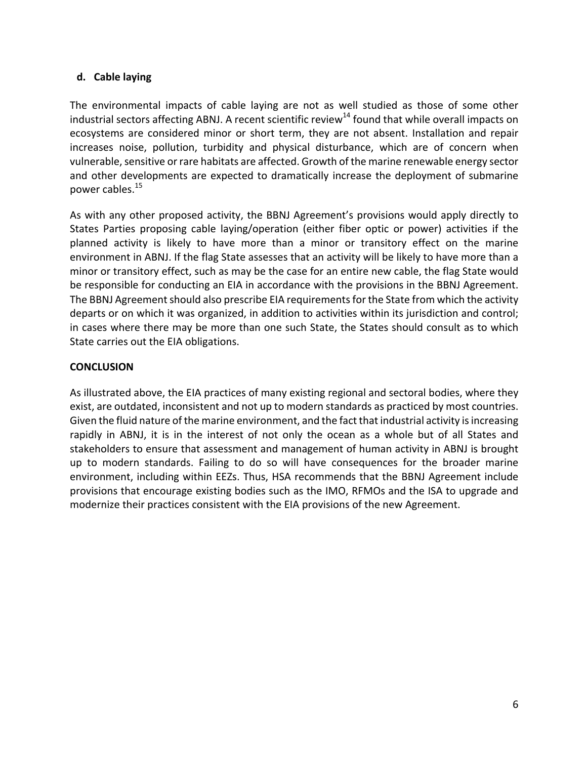### **d. Cable laying**

The environmental impacts of cable laying are not as well studied as those of some other industrial sectors affecting ABNJ. A recent scientific review<sup>14</sup> found that while overall impacts on ecosystems are considered minor or short term, they are not absent. Installation and repair increases noise, pollution, turbidity and physical disturbance, which are of concern when vulnerable, sensitive or rare habitats are affected. Growth of the marine renewable energy sector and other developments are expected to dramatically increase the deployment of submarine power cables.<sup>15</sup>

As with any other proposed activity, the BBNJ Agreement's provisions would apply directly to States Parties proposing cable laying/operation (either fiber optic or power) activities if the planned activity is likely to have more than a minor or transitory effect on the marine environment in ABNJ. If the flag State assesses that an activity will be likely to have more than a minor or transitory effect, such as may be the case for an entire new cable, the flag State would be responsible for conducting an EIA in accordance with the provisions in the BBNJ Agreement. The BBNJ Agreement should also prescribe EIA requirements for the State from which the activity departs or on which it was organized, in addition to activities within its jurisdiction and control; in cases where there may be more than one such State, the States should consult as to which State carries out the EIA obligations.

#### **CONCLUSION**

As illustrated above, the EIA practices of many existing regional and sectoral bodies, where they exist, are outdated, inconsistent and not up to modern standards as practiced by most countries. Given the fluid nature of the marine environment, and the fact that industrial activity is increasing rapidly in ABNJ, it is in the interest of not only the ocean as a whole but of all States and stakeholders to ensure that assessment and management of human activity in ABNJ is brought up to modern standards. Failing to do so will have consequences for the broader marine environment, including within EEZs. Thus, HSA recommends that the BBNJ Agreement include provisions that encourage existing bodies such as the IMO, RFMOs and the ISA to upgrade and modernize their practices consistent with the EIA provisions of the new Agreement.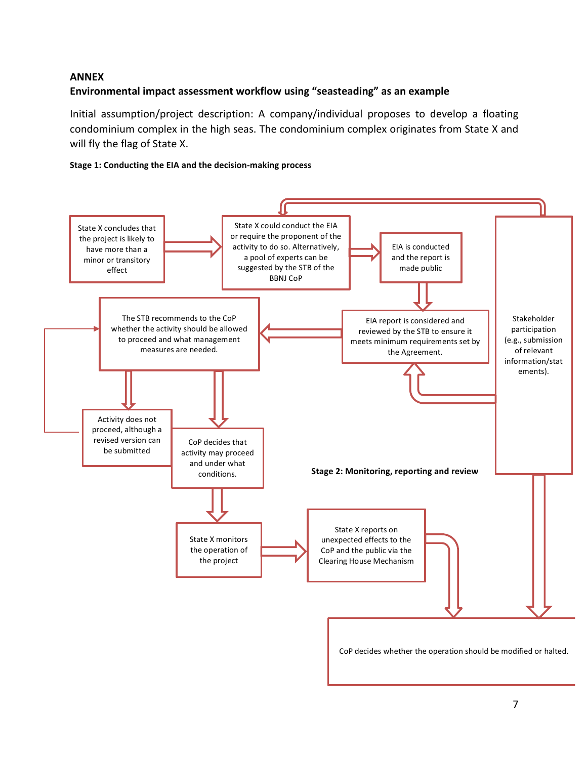#### **ANNEX**

#### Environmental impact assessment workflow using "seasteading" as an example

Initial assumption/project description: A company/individual proposes to develop a floating condominium complex in the high seas. The condominium complex originates from State X and will fly the flag of State X.

#### **Stage 1: Conducting the EIA and the decision-making process**